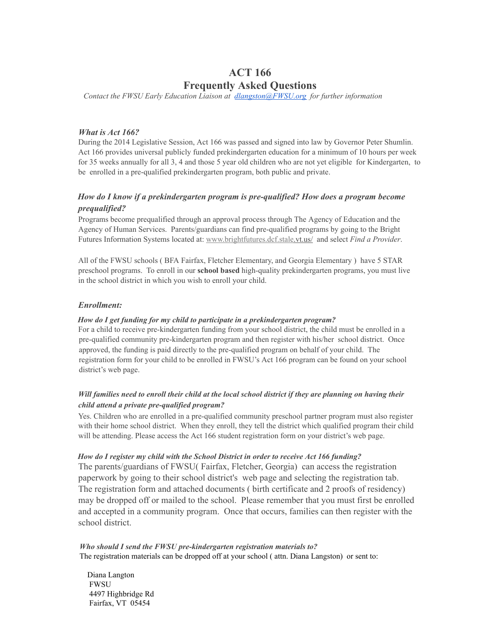# ACT 166 Frequently Asked Questions

*Contact the FWSU Early Education Liaison at [dlangston@FWSU.org](mailto:dlangston@FWSU.org) for further information*

### *What is Act 166?*

During the 2014 Legislative Session, Act 166 was passed and signed into law by Governor Peter Shumlin. Act 166 provides universal publicly funded prekindergarten education for a minimum of 10 hours per week for 35 weeks annually for all 3, 4 and those 5 year old children who are not yet eligible for Kindergarten, to be enrolled in a pre-qualified prekindergarten program, both public and private.

### *How do I know if a prekindergarten program is pre-qualified? How does a program become prequalified?*

Programs become prequalified through an approval process through The Agency of Education and the Agency of Human Services. Parents/guardians can find pre-qualified programs by going to the Bright Futures Information Systems located at: [www.brightfutures.dcf.stale.vt.us/](http://www.brightfutures.dcf.stale.vt.us/) [a](http://www.brightfutures.dcf.stale.vt.us/)nd select *Find a Provider*.

All of the FWSU schools ( BFA Fairfax, Fletcher Elementary, and Georgia Elementary ) have 5 STAR preschool programs. To enroll in our school based high-quality prekindergarten programs, you must live in the school district in which you wish to enroll your child.

### *Enrollment:*

#### *How do I get funding for my child to participate in a prekindergarten program?*

For a child to receive pre-kindergarten funding from your school district, the child must be enrolled in a pre-qualified community pre-kindergarten program and then register with his/her school district. Once approved, the funding is paid directly to the pre-qualified program on behalf of your child. The registration form for your child to be enrolled in FWSU's Act 166 program can be found on your school district's web page.

### Will families need to enroll their child at the local school district if they are planning on having their *child attend a private pre-qualified program?*

Yes. Children who are enrolled in a pre-qualified community preschool partner program must also register with their home school district. When they enroll, they tell the district which qualified program their child will be attending. Please access the Act 166 student registration form on your district's web page.

#### *How do I register my child with the School District in order to receive Act 166 funding?*

The parents/guardians of FWSU( Fairfax, Fletcher, Georgia) can access the registration paperwork by going to their school district's web page and selecting the registration tab. The registration form and attached documents ( birth certificate and 2 proofs of residency) may be dropped off or mailed to the school. Please remember that you must first be enrolled and accepted in a community program. Once that occurs, families can then register with the school district.

*Who should I send the FWSU pre-kindergarten registration materials to?* The registration materials can be dropped off at your school ( attn. Diana Langston) or sent to:

Diana Langton FWSU 4497 Highbridge Rd Fairfax, VT 05454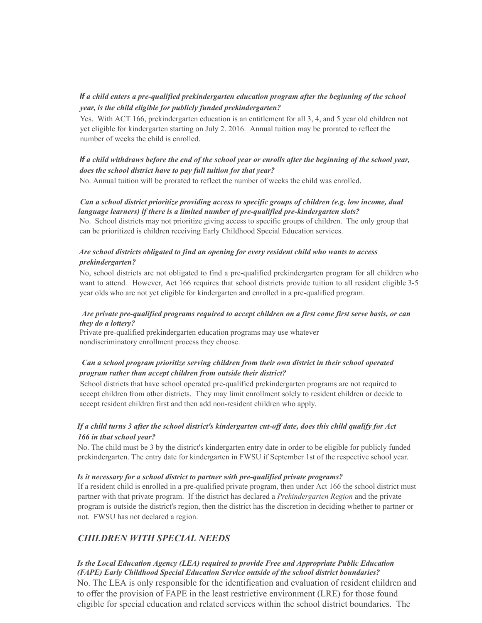### If *a child enters a pre-qualified prekindergarten education program after the beginning of the school year, is the child eligible for publicly funded prekindergarten?*

Yes. With ACT 166, prekindergarten education is an entitlement for all 3, 4, and 5 year old children not yet eligible for kindergarten starting on July 2. 2016. Annual tuition may be prorated to reflect the number of weeks the child is enrolled.

### If a child withdraws before the end of the school year or enrolls after the beginning of the school year, *does the school district have to pay full tuition for that year?*

No. Annual tuition will be prorated to reflect the number of weeks the child was enrolled.

#### *Can a school district prioritize providing access to specific groups of children (e.g. low income, dual language learners) if there is a limited number of pre-qualified pre-kindergarten slots?*

No. School districts may not prioritize giving access to specific groups of children. The only group that can be prioritized is children receiving Early Childhood Special Education services.

### *Are school districts obligated to find an opening for every resident child who wants to access prekindergarten?*

No, school districts are not obligated to find a pre-qualified prekindergarten program for all children who want to attend. However, Act 166 requires that school districts provide tuition to all resident eligible 3-5 year olds who are not yet eligible for kindergarten and enrolled in a pre-qualified program.

### *Are private pre-qualified programs required to accept children on a first come first serve basis, or can they do a lottery?*

Private pre-qualified prekindergarten education programs may use whatever nondiscriminatory enrollment process they choose.

### *Can a school program prioritize serving children from their own district in their school operated program rather than accept children from outside their district?*

School districts that have school operated pre-qualified prekindergarten programs are not required to accept children from other districts. They may limit enrollment solely to resident children or decide to accept resident children first and then add non-resident children who apply.

### If a child turns 3 after the school district's kindergarten cut-off date, does this child qualify for Act *166 in that school year?*

No. The child must be 3 by the district's kindergarten entry date in order to be eligible for publicly funded prekindergarten. The entry date for kindergarten in FWSU if September 1st of the respective school year.

#### *Is it necessary for a school district to partner with pre-qualified private programs?*

If a resident child is enrolled in a pre-qualified private program, then under Act 166 the school district must partner with that private program. If the district has declared a *Prekindergarten Region* and the private program is outside the district's region, then the district has the discretion in deciding whether to partner or not. FWSU has not declared a region.

## *CHILDREN WITH SPECIAL NEEDS*

*Is the Local Education Agency (LEA) required to provide Free and Appropriate Public Education (FAPE) Early Childhood Special Education Service outside of the school district boundaries?* No. The LEA is only responsible for the identification and evaluation of resident children and to offer the provision of FAPE in the least restrictive environment (LRE) for those found eligible for special education and related services within the school district boundaries. The